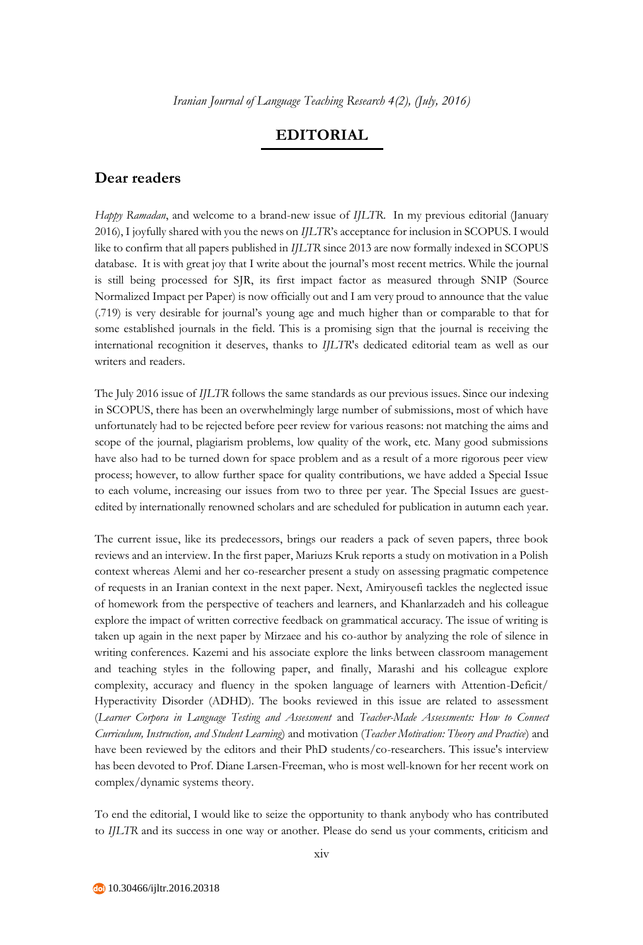## **EDITORIAL**

## **Dear readers**

*Happy Ramadan*, and welcome to a brand-new issue of *IJLTR*. In my previous editorial (January 2016), I joyfully shared with you the news on *IJLTR*'s acceptance for inclusion in SCOPUS. I would like to confirm that all papers published in *IJLTR* since 2013 are now formally indexed in SCOPUS database. It is with great joy that I write about the journal's most recent metrics. While the journal is still being processed for SJR, its first impact factor as measured through SNIP (Source Normalized Impact per Paper) is now officially out and I am very proud to announce that the value (.719) is very desirable for journal's young age and much higher than or comparable to that for some established journals in the field. This is a promising sign that the journal is receiving the international recognition it deserves, thanks to *IJLTR*'s dedicated editorial team as well as our writers and readers.

The July 2016 issue of *IJLTR* follows the same standards as our previous issues. Since our indexing in SCOPUS, there has been an overwhelmingly large number of submissions, most of which have unfortunately had to be rejected before peer review for various reasons: not matching the aims and scope of the journal, plagiarism problems, low quality of the work, etc. Many good submissions have also had to be turned down for space problem and as a result of a more rigorous peer view process; however, to allow further space for quality contributions, we have added a Special Issue to each volume, increasing our issues from two to three per year. The Special Issues are guestedited by internationally renowned scholars and are scheduled for publication in autumn each year.

The current issue, like its predecessors, brings our readers a pack of seven papers, three book reviews and an interview. In the first paper, Mariuzs Kruk reports a study on motivation in a Polish context whereas Alemi and her co-researcher present a study on assessing pragmatic competence of requests in an Iranian context in the next paper. Next, Amiryousefi tackles the neglected issue of homework from the perspective of teachers and learners, and Khanlarzadeh and his colleague explore the impact of written corrective feedback on grammatical accuracy. The issue of writing is taken up again in the next paper by Mirzaee and his co-author by analyzing the role of silence in writing conferences. Kazemi and his associate explore the links between classroom management and teaching styles in the following paper, and finally, Marashi and his colleague explore complexity, accuracy and fluency in the spoken language of learners with Attention-Deficit/ Hyperactivity Disorder (ADHD). The books reviewed in this issue are related to assessment (*Learner Corpora in Language Testing and Assessment* and *Teacher-Made Assessments: How to Connect Curriculum, Instruction, and Student Learning*) and motivation (*Teacher Motivation: Theory and Practice*) and have been reviewed by the editors and their PhD students/co-researchers. This issue's interview has been devoted to Prof. Diane Larsen-Freeman, who is most well-known for her recent work on complex/dynamic systems theory.

To end the editorial, I would like to seize the opportunity to thank anybody who has contributed to *IJLTR* and its success in one way or another. Please do send us your comments, criticism and